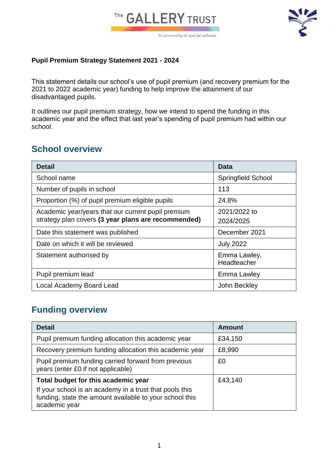



#### **Pupil Premium Strategy Statement 2021 - 2024**

This statement details our school's use of pupil premium (and recovery premium for the 2021 to 2022 academic year) funding to help improve the attainment of our disadvantaged pupils.

It outlines our pupil premium strategy, how we intend to spend the funding in this academic year and the effect that last year's spending of pupil premium had within our school.

#### **School overview**

| <b>Detail</b>                                       | Data                      |
|-----------------------------------------------------|---------------------------|
| School name                                         | <b>Springfield School</b> |
| Number of pupils in school                          | 113                       |
| Proportion (%) of pupil premium eligible pupils     | 24.8%                     |
| Academic year/years that our current pupil premium  | 2021/2022 to              |
| strategy plan covers (3 year plans are recommended) | 2024/2025                 |
| Date this statement was published                   | December 2021             |
| Date on which it will be reviewed                   | <b>July 2022</b>          |
| Statement authorised by                             | Emma Lawley,              |
|                                                     | Headteacher               |
| Pupil premium lead                                  | Emma Lawley               |
| Local Academy Board Lead                            | John Beckley              |

# **Funding overview**

| <b>Detail</b>                                                                                                                                                              | <b>Amount</b> |
|----------------------------------------------------------------------------------------------------------------------------------------------------------------------------|---------------|
| Pupil premium funding allocation this academic year                                                                                                                        | £34,150       |
| Recovery premium funding allocation this academic year                                                                                                                     | £8,990        |
| Pupil premium funding carried forward from previous<br>years (enter £0 if not applicable)                                                                                  | £0            |
| Total budget for this academic year<br>If your school is an academy in a trust that pools this<br>funding, state the amount available to your school this<br>academic year | £43,140       |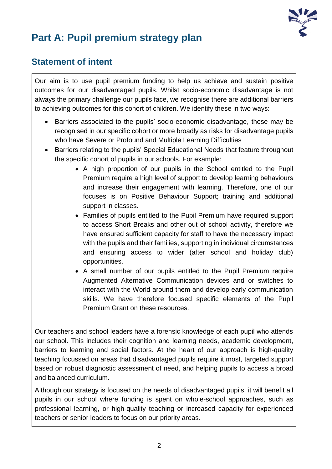

# **Part A: Pupil premium strategy plan**

### **Statement of intent**

Our aim is to use pupil premium funding to help us achieve and sustain positive outcomes for our disadvantaged pupils. Whilst socio-economic disadvantage is not always the primary challenge our pupils face, we recognise there are additional barriers to achieving outcomes for this cohort of children. We identify these in two ways:

- Barriers associated to the pupils' socio-economic disadvantage, these may be recognised in our specific cohort or more broadly as risks for disadvantage pupils who have Severe or Profound and Multiple Learning Difficulties
- Barriers relating to the pupils' Special Educational Needs that feature throughout the specific cohort of pupils in our schools. For example:
	- A high proportion of our pupils in the School entitled to the Pupil Premium require a high level of support to develop learning behaviours and increase their engagement with learning. Therefore, one of our focuses is on Positive Behaviour Support; training and additional support in classes.
	- Families of pupils entitled to the Pupil Premium have required support to access Short Breaks and other out of school activity, therefore we have ensured sufficient capacity for staff to have the necessary impact with the pupils and their families, supporting in individual circumstances and ensuring access to wider (after school and holiday club) opportunities.
	- A small number of our pupils entitled to the Pupil Premium require Augmented Alternative Communication devices and or switches to interact with the World around them and develop early communication skills. We have therefore focused specific elements of the Pupil Premium Grant on these resources.

Our teachers and school leaders have a forensic knowledge of each pupil who attends our school. This includes their cognition and learning needs, academic development, barriers to learning and social factors. At the heart of our approach is high-quality teaching focussed on areas that disadvantaged pupils require it most, targeted support based on robust diagnostic assessment of need, and helping pupils to access a broad and balanced curriculum.

Although our strategy is focused on the needs of disadvantaged pupils, it will benefit all pupils in our school where funding is spent on whole-school approaches, such as professional learning, or high-quality teaching or increased capacity for experienced teachers or senior leaders to focus on our priority areas.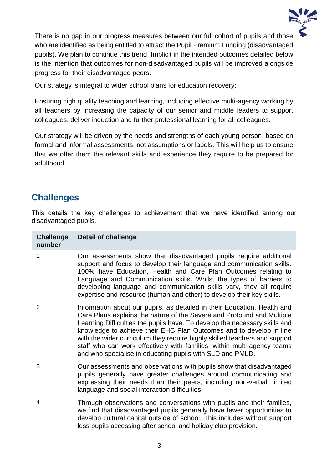

There is no gap in our progress measures between our full cohort of pupils and those who are identified as being entitled to attract the Pupil Premium Funding (disadvantaged pupils). We plan to continue this trend. Implicit in the intended outcomes detailed below is the intention that outcomes for non-disadvantaged pupils will be improved alongside progress for their disadvantaged peers.

Our strategy is integral to wider school plans for education recovery:

Ensuring high quality teaching and learning, including effective multi-agency working by all teachers by increasing the capacity of our senior and middle leaders to support colleagues, deliver induction and further professional learning for all colleagues.

Our strategy will be driven by the needs and strengths of each young person, based on formal and informal assessments, not assumptions or labels. This will help us to ensure that we offer them the relevant skills and experience they require to be prepared for adulthood.

# **Challenges**

This details the key challenges to achievement that we have identified among our disadvantaged pupils.

| <b>Challenge</b><br>number | <b>Detail of challenge</b>                                                                                                                                                                                                                                                                                                                                                                                                                                                                                                    |
|----------------------------|-------------------------------------------------------------------------------------------------------------------------------------------------------------------------------------------------------------------------------------------------------------------------------------------------------------------------------------------------------------------------------------------------------------------------------------------------------------------------------------------------------------------------------|
| 1                          | Our assessments show that disadvantaged pupils require additional<br>support and focus to develop their language and communication skills.<br>100% have Education, Health and Care Plan Outcomes relating to<br>Language and Communication skills. Whilst the types of barriers to<br>developing language and communication skills vary, they all require<br>expertise and resource (human and other) to develop their key skills.                                                                                            |
| $\overline{2}$             | Information about our pupils, as detailed in their Education, Health and<br>Care Plans explains the nature of the Severe and Profound and Multiple<br>Learning Difficulties the pupils have. To develop the necessary skills and<br>knowledge to achieve their EHC Plan Outcomes and to develop in line<br>with the wider curriculum they require highly skilled teachers and support<br>staff who can work effectively with families, within multi-agency teams<br>and who specialise in educating pupils with SLD and PMLD. |
| 3                          | Our assessments and observations with pupils show that disadvantaged<br>pupils generally have greater challenges around communicating and<br>expressing their needs than their peers, including non-verbal, limited<br>language and social interaction difficulties.                                                                                                                                                                                                                                                          |
| 4                          | Through observations and conversations with pupils and their families,<br>we find that disadvantaged pupils generally have fewer opportunities to<br>develop cultural capital outside of school. This includes without support<br>less pupils accessing after school and holiday club provision.                                                                                                                                                                                                                              |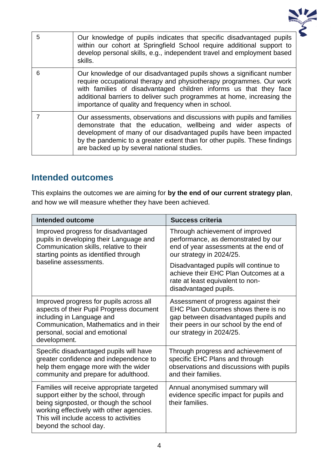

| 5 | Our knowledge of pupils indicates that specific disadvantaged pupils<br>within our cohort at Springfield School require additional support to<br>develop personal skills, e.g., independent travel and employment based<br>skills.                                                                                                                |
|---|---------------------------------------------------------------------------------------------------------------------------------------------------------------------------------------------------------------------------------------------------------------------------------------------------------------------------------------------------|
| 6 | Our knowledge of our disadvantaged pupils shows a significant number<br>require occupational therapy and physiotherapy programmes. Our work<br>with families of disadvantaged children informs us that they face<br>additional barriers to deliver such programmes at home, increasing the<br>importance of quality and frequency when in school. |
|   | Our assessments, observations and discussions with pupils and families<br>demonstrate that the education, wellbeing and wider aspects of<br>development of many of our disadvantaged pupils have been impacted<br>by the pandemic to a greater extent than for other pupils. These findings<br>are backed up by several national studies.         |

#### **Intended outcomes**

This explains the outcomes we are aiming for **by the end of our current strategy plan**, and how we will measure whether they have been achieved.

| <b>Intended outcome</b>                                                                                                                                                                                                                       | <b>Success criteria</b>                                                                                                                                                                    |  |
|-----------------------------------------------------------------------------------------------------------------------------------------------------------------------------------------------------------------------------------------------|--------------------------------------------------------------------------------------------------------------------------------------------------------------------------------------------|--|
| Improved progress for disadvantaged<br>pupils in developing their Language and<br>Communication skills, relative to their<br>starting points as identified through                                                                            | Through achievement of improved<br>performance, as demonstrated by our<br>end of year assessments at the end of<br>our strategy in 2024/25.                                                |  |
| baseline assessments.                                                                                                                                                                                                                         | Disadvantaged pupils will continue to<br>achieve their EHC Plan Outcomes at a<br>rate at least equivalent to non-<br>disadvantaged pupils.                                                 |  |
| Improved progress for pupils across all<br>aspects of their Pupil Progress document<br>including in Language and<br>Communication, Mathematics and in their<br>personal, social and emotional<br>development.                                 | Assessment of progress against their<br>EHC Plan Outcomes shows there is no<br>gap between disadvantaged pupils and<br>their peers in our school by the end of<br>our strategy in 2024/25. |  |
| Specific disadvantaged pupils will have<br>greater confidence and independence to<br>help them engage more with the wider<br>community and prepare for adulthood.                                                                             | Through progress and achievement of<br>specific EHC Plans and through<br>observations and discussions with pupils<br>and their families.                                                   |  |
| Families will receive appropriate targeted<br>support either by the school, through<br>being signposted, or though the school<br>working effectively with other agencies.<br>This will include access to activities<br>beyond the school day. | Annual anonymised summary will<br>evidence specific impact for pupils and<br>their families.                                                                                               |  |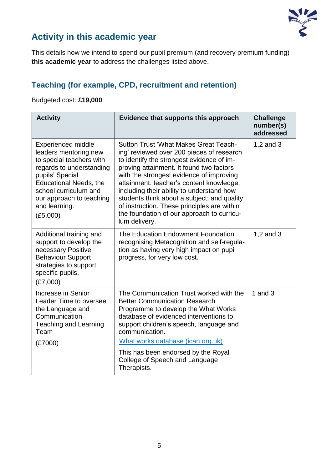

# **Activity in this academic year**

This details how we intend to spend our pupil premium (and recovery premium funding) **this academic year** to address the challenges listed above.

# **Teaching (for example, CPD, recruitment and retention)**

#### Budgeted cost: **£19,000**

| <b>Activity</b>                                                                                                                                                                                                                                  | Evidence that supports this approach                                                                                                                                                                                                                                                                                                                                                                                                                                                 | <b>Challenge</b><br>number(s)<br>addressed |
|--------------------------------------------------------------------------------------------------------------------------------------------------------------------------------------------------------------------------------------------------|--------------------------------------------------------------------------------------------------------------------------------------------------------------------------------------------------------------------------------------------------------------------------------------------------------------------------------------------------------------------------------------------------------------------------------------------------------------------------------------|--------------------------------------------|
| <b>Experienced middle</b><br>leaders mentoring new<br>to special teachers with<br>regards to understanding<br>pupils' Special<br><b>Educational Needs, the</b><br>school curriculum and<br>our approach to teaching<br>and learning.<br>(E5,000) | <b>Sutton Trust 'What Makes Great Teach-</b><br>ing' reviewed over 200 pieces of research<br>to identify the strongest evidence of im-<br>proving attainment. It found two factors<br>with the strongest evidence of improving<br>attainment: teacher's content knowledge,<br>including their ability to understand how<br>students think about a subject; and quality<br>of instruction. These principles are within<br>the foundation of our approach to curricu-<br>lum delivery. | 1,2 and $3$                                |
| Additional training and<br>support to develop the<br>necessary Positive<br><b>Behaviour Support</b><br>strategies to support<br>specific pupils.<br>(E7,000)                                                                                     | The Education Endowment Foundation<br>recognising Metacognition and self-regula-<br>tion as having very high impact on pupil<br>progress, for very low cost.                                                                                                                                                                                                                                                                                                                         | 1,2 and 3                                  |
| Increase in Senior<br>Leader Time to oversee<br>the Language and<br>Communication<br>Teaching and Learning<br>Team<br>(E7000)                                                                                                                    | The Communication Trust worked with the<br><b>Better Communication Research</b><br>Programme to develop the What Works<br>database of evidenced interventions to<br>support children's speech, language and<br>communication.<br>What works database (ican.org.uk)<br>This has been endorsed by the Royal<br>College of Speech and Language<br>Therapists.                                                                                                                           | 1 and $3$                                  |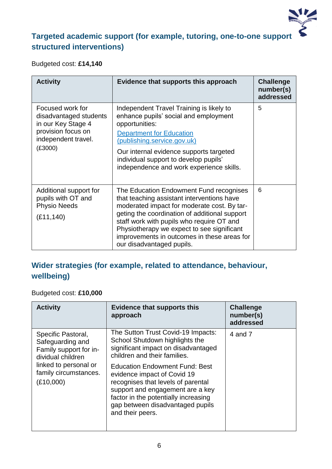

# **Targeted academic support (for example, tutoring, one-to-one support structured interventions)**

Budgeted cost: **£14,140**

| <b>Activity</b>                                                                                                          | Evidence that supports this approach                                                                                                                                                                                                                                                                                                                         | <b>Challenge</b><br>number(s)<br>addressed |
|--------------------------------------------------------------------------------------------------------------------------|--------------------------------------------------------------------------------------------------------------------------------------------------------------------------------------------------------------------------------------------------------------------------------------------------------------------------------------------------------------|--------------------------------------------|
| Focused work for<br>disadvantaged students<br>in our Key Stage 4<br>provision focus on<br>independent travel.<br>(E3000) | Independent Travel Training is likely to<br>enhance pupils' social and employment<br>opportunities:<br><b>Department for Education</b><br>(publishing.service.gov.uk)<br>Our internal evidence supports targeted<br>individual support to develop pupils'<br>independence and work experience skills.                                                        | 5                                          |
| Additional support for<br>pupils with OT and<br><b>Physio Needs</b><br>(E11, 140)                                        | The Education Endowment Fund recognises<br>that teaching assistant interventions have<br>moderated impact for moderate cost. By tar-<br>geting the coordination of additional support<br>staff work with pupils who require OT and<br>Physiotherapy we expect to see significant<br>improvements in outcomes in these areas for<br>our disadvantaged pupils. | 6                                          |

### **Wider strategies (for example, related to attendance, behaviour, wellbeing)**

#### Budgeted cost: **£10,000**

| <b>Activity</b>                                                                                                                                      | <b>Evidence that supports this</b><br>approach                                                                                                                                                                                                 | <b>Challenge</b><br>number(s)<br>addressed |
|------------------------------------------------------------------------------------------------------------------------------------------------------|------------------------------------------------------------------------------------------------------------------------------------------------------------------------------------------------------------------------------------------------|--------------------------------------------|
| Specific Pastoral,<br>Safeguarding and<br>Family support for in-<br>dividual children<br>linked to personal or<br>family circumstances.<br>(E10,000) | The Sutton Trust Covid-19 Impacts:<br>School Shutdown highlights the<br>significant impact on disadvantaged<br>children and their families.                                                                                                    | 4 and 7                                    |
|                                                                                                                                                      | <b>Education Endowment Fund: Best</b><br>evidence impact of Covid 19<br>recognises that levels of parental<br>support and engagement are a key<br>factor in the potentially increasing<br>gap between disadvantaged pupils<br>and their peers. |                                            |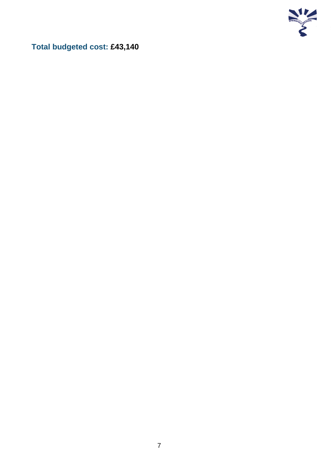

**Total budgeted cost: £43,140**